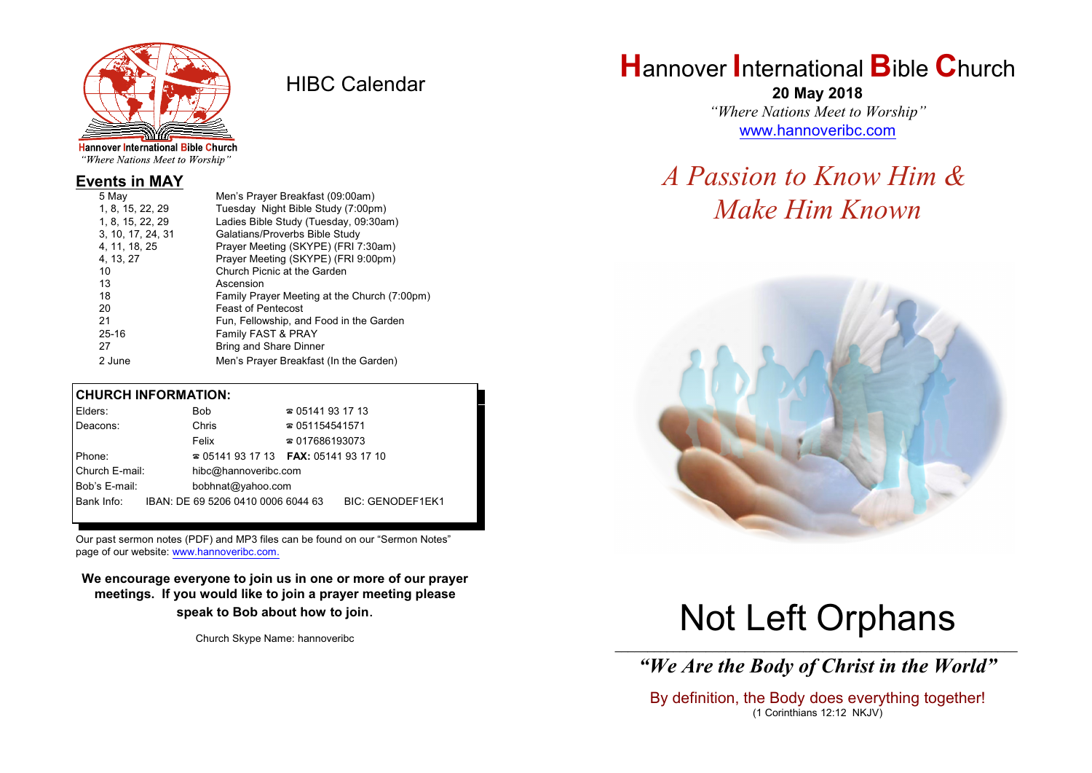

HIBC Calendar

"Where Nations Meet to Worship"

### **Events in MAY**

| Men's Prayer Breakfast (09:00am)             |
|----------------------------------------------|
| Tuesday Night Bible Study (7:00pm)           |
| Ladies Bible Study (Tuesday, 09:30am)        |
| Galatians/Proverbs Bible Study               |
| Prayer Meeting (SKYPE) (FRI 7:30am)          |
| Prayer Meeting (SKYPE) (FRI 9:00pm)          |
| Church Picnic at the Garden                  |
| Ascension                                    |
| Family Prayer Meeting at the Church (7:00pm) |
| <b>Feast of Pentecost</b>                    |
| Fun, Fellowship, and Food in the Garden      |
| Family FAST & PRAY                           |
| <b>Bring and Share Dinner</b>                |
| Men's Prayer Breakfast (In the Garden)       |
|                                              |

#### **CHURCH INFORMATION:**

| Elders:        | Bob                                      | $\approx 05141931713$  |                         |
|----------------|------------------------------------------|------------------------|-------------------------|
| Deacons:       | Chris                                    | $\approx 051154541571$ |                         |
|                | Felix                                    | $\approx 017686193073$ |                         |
| Phone:         | $\approx 05141931713$ FAX: 0514193 17 10 |                        |                         |
| Church E-mail: | hibc@hannoveribc.com                     |                        |                         |
| Bob's E-mail:  | bobhnat@yahoo.com                        |                        |                         |
| Bank Info:     | IBAN: DE 69 5206 0410 0006 6044 63       |                        | <b>BIC: GENODEF1EK1</b> |
|                |                                          |                        |                         |

Our past sermon notes (PDF) and MP3 files can be found on our "Sermon Notes" page of our website: [www.hannoveribc.com.](http://www.hannoveribc.com.)

**We encourage everyone to join us in one or more of our prayer meetings. If you would like to join a prayer meeting please speak to Bob about how to join**.

Church Skype Name: hannoveribc

# **H**annover **I**nternational **B**ible **C**hurch

**20 May 2018** *"Where Nations Meet to Worship"* [www.hannoveribc.com](http://www.hannoveribc.com)

# *A Passion to Know Him & Make Him Known*



# Not Left Orphans

\_\_\_\_\_\_\_\_\_\_\_\_\_\_\_\_\_\_\_\_\_\_\_\_\_\_\_\_\_\_\_\_\_\_\_\_\_\_\_\_\_\_\_\_\_\_\_\_\_\_\_\_\_\_\_\_\_\_\_\_\_\_ *"We Are the Body of Christ in the World"*

By definition, the Body does everything together! (1 Corinthians 12:12 NKJV)